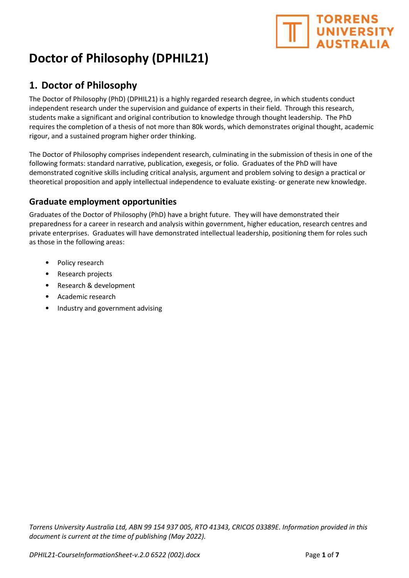# **TORRENS** UNIVERSITY

## Doctor of Philosophy (DPHIL21)

## 1. Doctor of Philosophy

The Doctor of Philosophy (PhD) (DPHIL21) is a highly regarded research degree, in which students conduct independent research under the supervision and guidance of experts in their field. Through this research, students make a significant and original contribution to knowledge through thought leadership. The PhD requires the completion of a thesis of not more than 80k words, which demonstrates original thought, academic rigour, and a sustained program higher order thinking.

The Doctor of Philosophy comprises independent research, culminating in the submission of thesis in one of the following formats: standard narrative, publication, exegesis, or folio. Graduates of the PhD will have demonstrated cognitive skills including critical analysis, argument and problem solving to design a practical or theoretical proposition and apply intellectual independence to evaluate existing- or generate new knowledge.

## Graduate employment opportunities

Graduates of the Doctor of Philosophy (PhD) have a bright future. They will have demonstrated their preparedness for a career in research and analysis within government, higher education, research centres and private enterprises. Graduates will have demonstrated intellectual leadership, positioning them for roles such as those in the following areas:

- Policy research
- Research projects
- Research & development
- Academic research
- Industry and government advising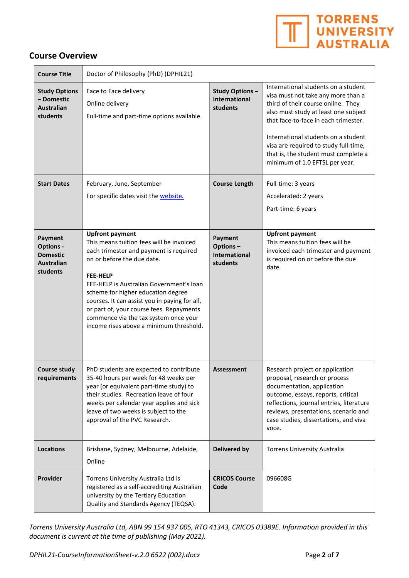

#### Course Overview

| <b>Course Title</b>                                                             | Doctor of Philosophy (PhD) (DPHIL21)                                                                                                                                                                                                                                                                                                                                                                                             |                                                           |                                                                                                                                                                                                                                                                                                                                                           |
|---------------------------------------------------------------------------------|----------------------------------------------------------------------------------------------------------------------------------------------------------------------------------------------------------------------------------------------------------------------------------------------------------------------------------------------------------------------------------------------------------------------------------|-----------------------------------------------------------|-----------------------------------------------------------------------------------------------------------------------------------------------------------------------------------------------------------------------------------------------------------------------------------------------------------------------------------------------------------|
| <b>Study Options</b><br>- Domestic<br><b>Australian</b><br>students             | Face to Face delivery<br>Online delivery<br>Full-time and part-time options available.                                                                                                                                                                                                                                                                                                                                           | <b>Study Options-</b><br><b>International</b><br>students | International students on a student<br>visa must not take any more than a<br>third of their course online. They<br>also must study at least one subject<br>that face-to-face in each trimester.<br>International students on a student<br>visa are required to study full-time,<br>that is, the student must complete a<br>minimum of 1.0 EFTSL per year. |
| <b>Start Dates</b>                                                              | February, June, September<br>For specific dates visit the website.                                                                                                                                                                                                                                                                                                                                                               | <b>Course Length</b>                                      | Full-time: 3 years<br>Accelerated: 2 years<br>Part-time: 6 years                                                                                                                                                                                                                                                                                          |
| Payment<br><b>Options -</b><br><b>Domestic</b><br><b>Australian</b><br>students | <b>Upfront payment</b><br>This means tuition fees will be invoiced<br>each trimester and payment is required<br>on or before the due date.<br><b>FEE-HELP</b><br>FEE-HELP is Australian Government's loan<br>scheme for higher education degree<br>courses. It can assist you in paying for all,<br>or part of, your course fees. Repayments<br>commence via the tax system once your<br>income rises above a minimum threshold. | Payment<br>Options-<br><b>International</b><br>students   | <b>Upfront payment</b><br>This means tuition fees will be<br>invoiced each trimester and payment<br>is required on or before the due<br>date.                                                                                                                                                                                                             |
| <b>Course study</b><br>requirements                                             | PhD students are expected to contribute<br>35-40 hours per week for 48 weeks per<br>year (or equivalent part-time study) to<br>their studies. Recreation leave of four<br>weeks per calendar year applies and sick<br>leave of two weeks is subject to the<br>approval of the PVC Research.                                                                                                                                      | <b>Assessment</b>                                         | Research project or application<br>proposal, research or process<br>documentation, application<br>outcome, essays, reports, critical<br>reflections, journal entries, literature<br>reviews, presentations, scenario and<br>case studies, dissertations, and viva<br>voce.                                                                                |
| <b>Locations</b>                                                                | Brisbane, Sydney, Melbourne, Adelaide,<br>Online                                                                                                                                                                                                                                                                                                                                                                                 | <b>Delivered by</b>                                       | <b>Torrens University Australia</b>                                                                                                                                                                                                                                                                                                                       |
| Provider                                                                        | Torrens University Australia Ltd is<br>registered as a self-accrediting Australian<br>university by the Tertiary Education<br>Quality and Standards Agency (TEQSA).                                                                                                                                                                                                                                                              | <b>CRICOS Course</b><br>Code                              | 096608G                                                                                                                                                                                                                                                                                                                                                   |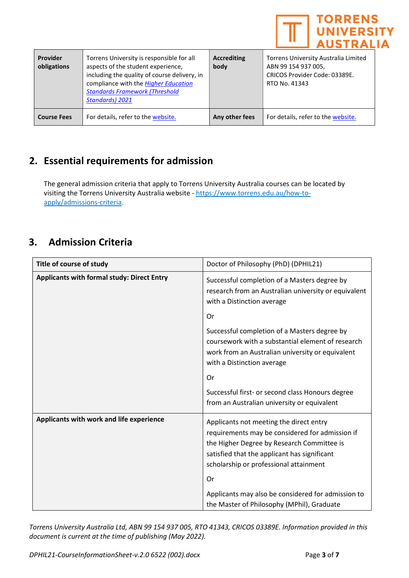

| Provider<br>obligations | Torrens University is responsible for all<br>aspects of the student experience,<br>including the quality of course delivery, in<br>compliance with the <b>Higher Education</b><br><b>Standards Framework (Threshold</b><br><b>Standards) 2021</b> | <b>Accrediting</b><br>body | Torrens University Australia Limited<br>ABN 99 154 937 005,<br>CRICOS Provider Code: 03389E.<br>RTO No. 41343 |
|-------------------------|---------------------------------------------------------------------------------------------------------------------------------------------------------------------------------------------------------------------------------------------------|----------------------------|---------------------------------------------------------------------------------------------------------------|
| <b>Course Fees</b>      | For details, refer to the website.                                                                                                                                                                                                                | Any other fees             | For details, refer to the website.                                                                            |

## 2. Essential requirements for admission

The general admission criteria that apply to Torrens University Australia courses can be located by visiting the Torrens University Australia website - https://www.torrens.edu.au/how-toapply/admissions-criteria.

## 3. Admission Criteria

| Title of course of study                          | Doctor of Philosophy (PhD) (DPHIL21)                                                                                                                                                                                               |  |
|---------------------------------------------------|------------------------------------------------------------------------------------------------------------------------------------------------------------------------------------------------------------------------------------|--|
| <b>Applicants with formal study: Direct Entry</b> | Successful completion of a Masters degree by<br>research from an Australian university or equivalent<br>with a Distinction average                                                                                                 |  |
|                                                   | <b>Or</b>                                                                                                                                                                                                                          |  |
|                                                   | Successful completion of a Masters degree by<br>coursework with a substantial element of research<br>work from an Australian university or equivalent<br>with a Distinction average                                                |  |
|                                                   | Or                                                                                                                                                                                                                                 |  |
|                                                   | Successful first- or second class Honours degree<br>from an Australian university or equivalent                                                                                                                                    |  |
| Applicants with work and life experience          | Applicants not meeting the direct entry<br>requirements may be considered for admission if<br>the Higher Degree by Research Committee is<br>satisfied that the applicant has significant<br>scholarship or professional attainment |  |
|                                                   | Or                                                                                                                                                                                                                                 |  |
|                                                   | Applicants may also be considered for admission to<br>the Master of Philosophy (MPhil), Graduate                                                                                                                                   |  |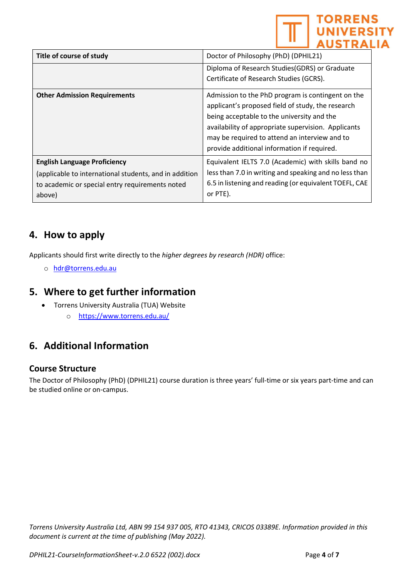|                                                                                                                                                            | <b>TORRENS</b><br><b>NIVERSITY</b>                                                                                                                                                                                                                                                                          |
|------------------------------------------------------------------------------------------------------------------------------------------------------------|-------------------------------------------------------------------------------------------------------------------------------------------------------------------------------------------------------------------------------------------------------------------------------------------------------------|
| Title of course of study                                                                                                                                   | Doctor of Philosophy (PhD) (DPHIL21)                                                                                                                                                                                                                                                                        |
|                                                                                                                                                            | Diploma of Research Studies (GDRS) or Graduate                                                                                                                                                                                                                                                              |
|                                                                                                                                                            | Certificate of Research Studies (GCRS).                                                                                                                                                                                                                                                                     |
| <b>Other Admission Requirements</b>                                                                                                                        | Admission to the PhD program is contingent on the<br>applicant's proposed field of study, the research<br>being acceptable to the university and the<br>availability of appropriate supervision. Applicants<br>may be required to attend an interview and to<br>provide additional information if required. |
| <b>English Language Proficiency</b><br>(applicable to international students, and in addition<br>to academic or special entry requirements noted<br>above) | Equivalent IELTS 7.0 (Academic) with skills band no<br>less than 7.0 in writing and speaking and no less than<br>6.5 in listening and reading (or equivalent TOEFL, CAE<br>or PTE).                                                                                                                         |

## 4. How to apply

Applicants should first write directly to the higher degrees by research (HDR) office:

o hdr@torrens.edu.au

## 5. Where to get further information

- Torrens University Australia (TUA) Website
	- o https://www.torrens.edu.au/

## 6. Additional Information

#### Course Structure

The Doctor of Philosophy (PhD) (DPHIL21) course duration is three years' full-time or six years part-time and can be studied online or on-campus.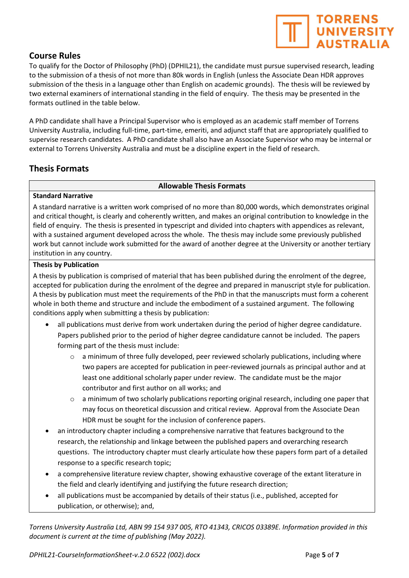#### Course Rules

To qualify for the Doctor of Philosophy (PhD) (DPHIL21), the candidate must pursue supervised research, leading to the submission of a thesis of not more than 80k words in English (unless the Associate Dean HDR approves submission of the thesis in a language other than English on academic grounds). The thesis will be reviewed by two external examiners of international standing in the field of enquiry. The thesis may be presented in the formats outlined in the table below.

A PhD candidate shall have a Principal Supervisor who is employed as an academic staff member of Torrens University Australia, including full-time, part-time, emeriti, and adjunct staff that are appropriately qualified to supervise research candidates. A PhD candidate shall also have an Associate Supervisor who may be internal or external to Torrens University Australia and must be a discipline expert in the field of research.

### Thesis Formats

#### Allowable Thesis Formats

#### Standard Narrative

A standard narrative is a written work comprised of no more than 80,000 words, which demonstrates original and critical thought, is clearly and coherently written, and makes an original contribution to knowledge in the field of enquiry. The thesis is presented in typescript and divided into chapters with appendices as relevant, with a sustained argument developed across the whole. The thesis may include some previously published work but cannot include work submitted for the award of another degree at the University or another tertiary institution in any country.

#### Thesis by Publication

A thesis by publication is comprised of material that has been published during the enrolment of the degree, accepted for publication during the enrolment of the degree and prepared in manuscript style for publication. A thesis by publication must meet the requirements of the PhD in that the manuscripts must form a coherent whole in both theme and structure and include the embodiment of a sustained argument. The following conditions apply when submitting a thesis by publication:

- all publications must derive from work undertaken during the period of higher degree candidature. Papers published prior to the period of higher degree candidature cannot be included. The papers forming part of the thesis must include:
	- $\circ$  a minimum of three fully developed, peer reviewed scholarly publications, including where two papers are accepted for publication in peer-reviewed journals as principal author and at least one additional scholarly paper under review. The candidate must be the major contributor and first author on all works; and
	- o a minimum of two scholarly publications reporting original research, including one paper that may focus on theoretical discussion and critical review. Approval from the Associate Dean HDR must be sought for the inclusion of conference papers.
- an introductory chapter including a comprehensive narrative that features background to the research, the relationship and linkage between the published papers and overarching research questions. The introductory chapter must clearly articulate how these papers form part of a detailed response to a specific research topic;
- a comprehensive literature review chapter, showing exhaustive coverage of the extant literature in the field and clearly identifying and justifying the future research direction;
- all publications must be accompanied by details of their status (i.e., published, accepted for publication, or otherwise); and,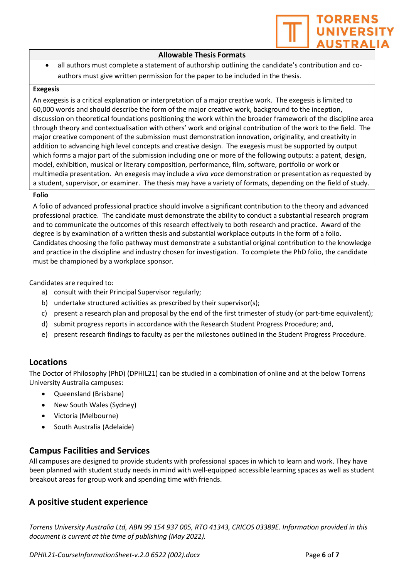

#### Allowable Thesis Formats

 all authors must complete a statement of authorship outlining the candidate's contribution and coauthors must give written permission for the paper to be included in the thesis.

#### Exegesis

An exegesis is a critical explanation or interpretation of a major creative work. The exegesis is limited to 60,000 words and should describe the form of the major creative work, background to the inception, discussion on theoretical foundations positioning the work within the broader framework of the discipline area through theory and contextualisation with others' work and original contribution of the work to the field. The major creative component of the submission must demonstration innovation, originality, and creativity in addition to advancing high level concepts and creative design. The exegesis must be supported by output which forms a major part of the submission including one or more of the following outputs: a patent, design, model, exhibition, musical or literary composition, performance, film, software, portfolio or work or multimedia presentation. An exegesis may include a *viva voce* demonstration or presentation as requested by a student, supervisor, or examiner. The thesis may have a variety of formats, depending on the field of study.

#### Folio

A folio of advanced professional practice should involve a significant contribution to the theory and advanced professional practice. The candidate must demonstrate the ability to conduct a substantial research program and to communicate the outcomes of this research effectively to both research and practice. Award of the degree is by examination of a written thesis and substantial workplace outputs in the form of a folio. Candidates choosing the folio pathway must demonstrate a substantial original contribution to the knowledge and practice in the discipline and industry chosen for investigation. To complete the PhD folio, the candidate must be championed by a workplace sponsor.

Candidates are required to:

- a) consult with their Principal Supervisor regularly;
- b) undertake structured activities as prescribed by their supervisor(s);
- c) present a research plan and proposal by the end of the first trimester of study (or part-time equivalent);
- d) submit progress reports in accordance with the Research Student Progress Procedure; and,
- e) present research findings to faculty as per the milestones outlined in the Student Progress Procedure.

#### Locations

The Doctor of Philosophy (PhD) (DPHIL21) can be studied in a combination of online and at the below Torrens University Australia campuses:

- Queensland (Brisbane)
- New South Wales (Sydney)
- Victoria (Melbourne)
- South Australia (Adelaide)

#### Campus Facilities and Services

All campuses are designed to provide students with professional spaces in which to learn and work. They have been planned with student study needs in mind with well-equipped accessible learning spaces as well as student breakout areas for group work and spending time with friends.

## A positive student experience